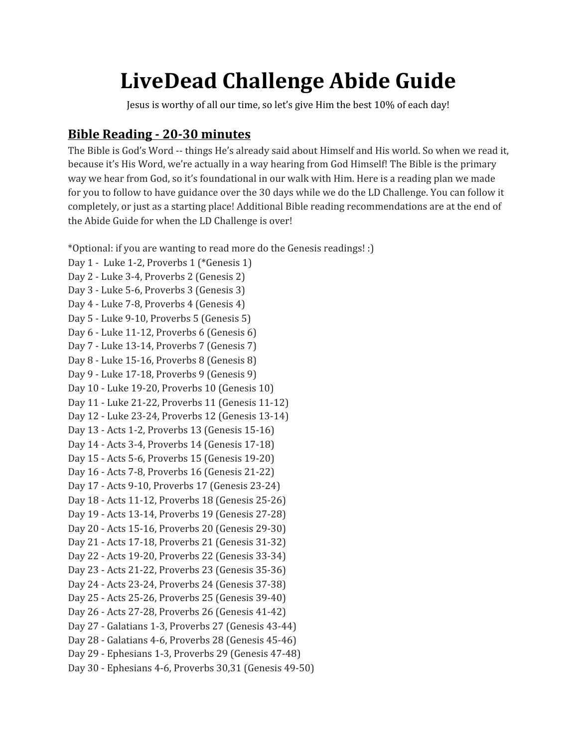# **LiveDead Challenge Abide Guide**

Jesus is worthy of all our time, so let's give Him the best 10% of each day!

# **Bible Reading - 20-30 minutes**

The Bible is God's Word -- things He's already said about Himself and His world. So when we read it, because it's His Word, we're actually in a way hearing from God Himself! The Bible is the primary way we hear from God, so it's foundational in our walk with Him. Here is a reading plan we made for you to follow to have guidance over the 30 days while we do the LD Challenge. You can follow it completely, or just as a starting place! Additional Bible reading recommendations are at the end of the Abide Guide for when the LD Challenge is over!

\*Optional: if you are wanting to read more do the Genesis readings! :)

Day 1 - Luke 1-2, Proverbs 1 (\*Genesis 1) Day 2 - Luke 3-4, Proverbs 2 (Genesis 2) Day 3 - Luke 5-6, Proverbs 3 (Genesis 3) Day 4 - Luke 7-8, Proverbs 4 (Genesis 4) Day 5 - Luke 9-10, Proverbs 5 (Genesis 5) Day 6 - Luke 11-12, Proverbs 6 (Genesis 6) Day 7 - Luke 13-14, Proverbs 7 (Genesis 7) Day 8 - Luke 15-16, Proverbs 8 (Genesis 8) Day 9 - Luke 17-18, Proverbs 9 (Genesis 9) Day 10 - Luke 19-20, Proverbs 10 (Genesis 10) Day 11 - Luke 21-22, Proverbs 11 (Genesis 11-12) Day 12 - Luke 23-24, Proverbs 12 (Genesis 13-14) Day 13 - Acts 1-2, Proverbs 13 (Genesis 15-16) Day 14 - Acts 3-4, Proverbs 14 (Genesis 17-18) Day 15 - Acts 5-6, Proverbs 15 (Genesis 19-20) Day 16 - Acts 7-8, Proverbs 16 (Genesis 21-22) Day 17 - Acts 9-10, Proverbs 17 (Genesis 23-24) Day 18 - Acts 11-12, Proverbs 18 (Genesis 25-26) Day 19 - Acts 13-14, Proverbs 19 (Genesis 27-28) Day 20 - Acts 15-16, Proverbs 20 (Genesis 29-30) Day 21 - Acts 17-18, Proverbs 21 (Genesis 31-32) Day 22 - Acts 19-20, Proverbs 22 (Genesis 33-34) Day 23 - Acts 21-22, Proverbs 23 (Genesis 35-36) Day 24 - Acts 23-24, Proverbs 24 (Genesis 37-38) Day 25 - Acts 25-26, Proverbs 25 (Genesis 39-40) Day 26 - Acts 27-28, Proverbs 26 (Genesis 41-42) Day 27 - Galatians 1-3, Proverbs 27 (Genesis 43-44) Day 28 - Galatians 4-6, Proverbs 28 (Genesis 45-46) Day 29 - Ephesians 1-3, Proverbs 29 (Genesis 47-48) Day 30 - Ephesians 4-6, Proverbs 30,31 (Genesis 49-50)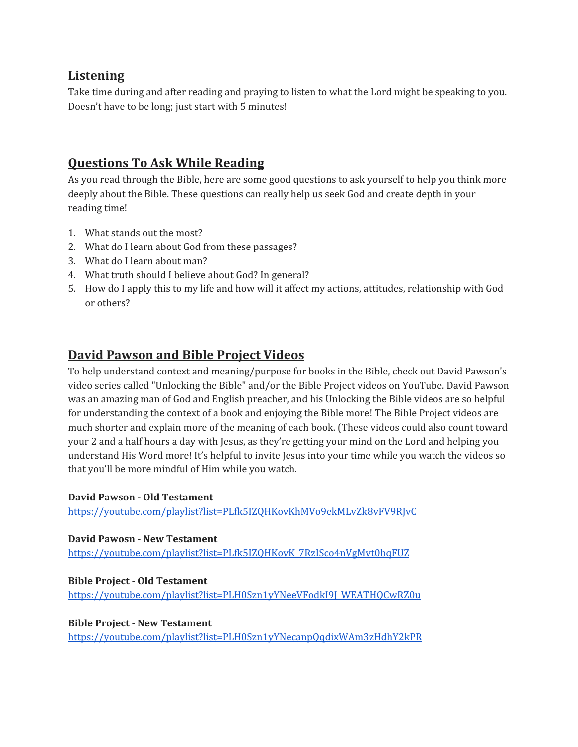## **Listening**

Take time during and after reading and praying to listen to what the Lord might be speaking to you. Doesn't have to be long; just start with 5 minutes!

# **Questions To Ask While Reading**

As you read through the Bible, here are some good questions to ask yourself to help you think more deeply about the Bible. These questions can really help us seek God and create depth in your reading time!

- 1. What stands out the most?
- 2. What do I learn about God from these passages?
- 3. What do I learn about man?
- 4. What truth should I believe about God? In general?
- 5. How do I apply this to my life and how will it affect my actions, attitudes, relationship with God or others?

## **David Pawson and Bible Project Videos**

To help understand context and meaning/purpose for books in the Bible, check out David Pawson's video series called "Unlocking the Bible" and/or the Bible Project videos on YouTube. David Pawson was an amazing man of God and English preacher, and his Unlocking the Bible videos are so helpful for understanding the context of a book and enjoying the Bible more! The Bible Project videos are much shorter and explain more of the meaning of each book. (These videos could also count toward your 2 and a half hours a day with Jesus, as they're getting your mind on the Lord and helping you understand His Word more! It's helpful to invite Jesus into your time while you watch the videos so that you'll be more mindful of Him while you watch.

#### **David Pawson - Old Testament**

<https://youtube.com/playlist?list=PLfk5IZQHKovKhMVo9ekMLvZk8vFV9RJvC>

**David Pawosn - New Testament** [https://youtube.com/playlist?list=PLfk5IZQHKovK\\_7RzISco4nVgMvt0bqFUZ](https://youtube.com/playlist?list=PLfk5IZQHKovK_7RzISco4nVgMvt0bqFUZ)

**Bible Project - Old Testament** [https://youtube.com/playlist?list=PLH0Szn1yYNeeVFodkI9J\\_WEATHQCwRZ0u](https://youtube.com/playlist?list=PLH0Szn1yYNeeVFodkI9J_WEATHQCwRZ0u)

**Bible Project - New Testament** <https://youtube.com/playlist?list=PLH0Szn1yYNecanpQqdixWAm3zHdhY2kPR>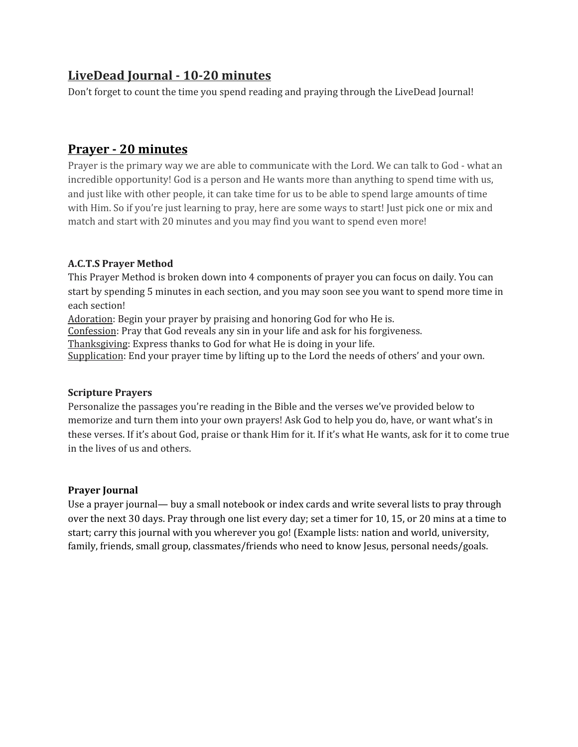# **LiveDead Journal - 10-20 minutes**

Don't forget to count the time you spend reading and praying through the LiveDead Journal!

# **Prayer - 20 minutes**

Prayer is the primary way we are able to communicate with the Lord. We can talk to God - what an incredible opportunity! God is a person and He wants more than anything to spend time with us, and just like with other people, it can take time for us to be able to spend large amounts of time with Him. So if you're just learning to pray, here are some ways to start! Just pick one or mix and match and start with 20 minutes and you may find you want to spend even more!

## **A.C.T.S Prayer Method**

This Prayer Method is broken down into 4 components of prayer you can focus on daily. You can start by spending 5 minutes in each section, and you may soon see you want to spend more time in each section!

Adoration: Begin your prayer by praising and honoring God for who He is.

Confession: Pray that God reveals any sin in your life and ask for his forgiveness.

Thanksgiving: Express thanks to God for what He is doing in your life.

Supplication: End your prayer time by lifting up to the Lord the needs of others' and your own.

#### **Scripture Prayers**

Personalize the passages you're reading in the Bible and the verses we've provided below to memorize and turn them into your own prayers! Ask God to help you do, have, or want what's in these verses. If it's about God, praise or thank Him for it. If it's what He wants, ask for it to come true in the lives of us and others.

## **Prayer Journal**

Use a prayer journal— buy a small notebook or index cards and write several lists to pray through over the next 30 days. Pray through one list every day; set a timer for 10, 15, or 20 mins at a time to start; carry this journal with you wherever you go! (Example lists: nation and world, university, family, friends, small group, classmates/friends who need to know Jesus, personal needs/goals.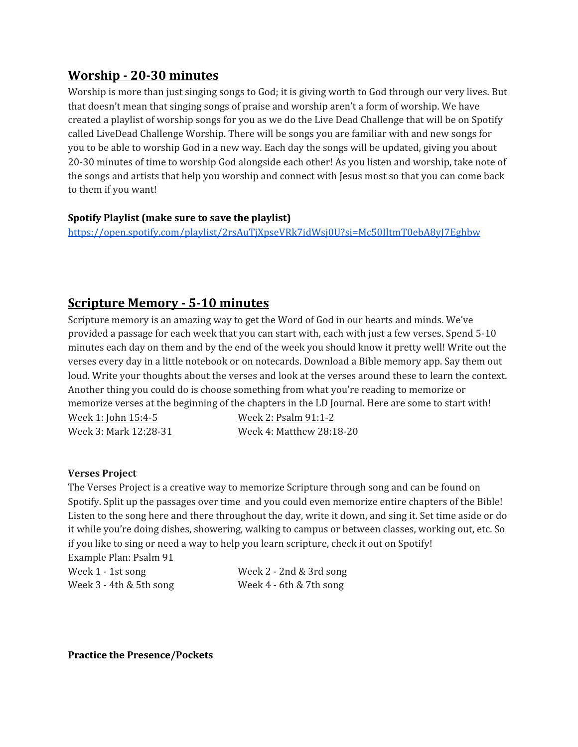# **Worship - 20-30 minutes**

Worship is more than just singing songs to God; it is giving worth to God through our very lives. But that doesn't mean that singing songs of praise and worship aren't a form of worship. We have created a playlist of worship songs for you as we do the Live Dead Challenge that will be on Spotify called LiveDead Challenge Worship. There will be songs you are familiar with and new songs for you to be able to worship God in a new way. Each day the songs will be updated, giving you about 20-30 minutes of time to worship God alongside each other! As you listen and worship, take note of the songs and artists that help you worship and connect with Jesus most so that you can come back to them if you want!

## **Spotify Playlist (make sure to save the playlist)**

<https://open.spotify.com/playlist/2rsAuTjXpseVRk7idWsj0U?si=Mc50IltmT0ebA8yJ7Eghbw>

## **Scripture Memory - 5-10 minutes**

Scripture memory is an amazing way to get the Word of God in our hearts and minds. We've provided a passage for each week that you can start with, each with just a few verses. Spend 5-10 minutes each day on them and by the end of the week you should know it pretty well! Write out the verses every day in a little notebook or on notecards. Download a Bible memory app. Say them out loud. Write your thoughts about the verses and look at the verses around these to learn the context. Another thing you could do is choose something from what you're reading to memorize or memorize verses at the beginning of the chapters in the LD Journal. Here are some to start with! Week 1: John 15:4-5 Week 2: Psalm 91:1-2 Week 3: Mark 12:28-31 Week 4: Matthew 28:18-20

#### **Verses Project**

The Verses Project is a creative way to memorize Scripture through song and can be found on Spotify. Split up the passages over time and you could even memorize entire chapters of the Bible! Listen to the song here and there throughout the day, write it down, and sing it. Set time aside or do it while you're doing dishes, showering, walking to campus or between classes, working out, etc. So if you like to sing or need a way to help you learn scripture, check it out on Spotify! Example Plan: Psalm 91

| Week 1 - 1st song          | Week $2 - 2nd & 3rd$ song |
|----------------------------|---------------------------|
| Week $3 - 4$ th & 5th song | Week 4 - 6th & 7th song   |

**Practice the Presence/Pockets**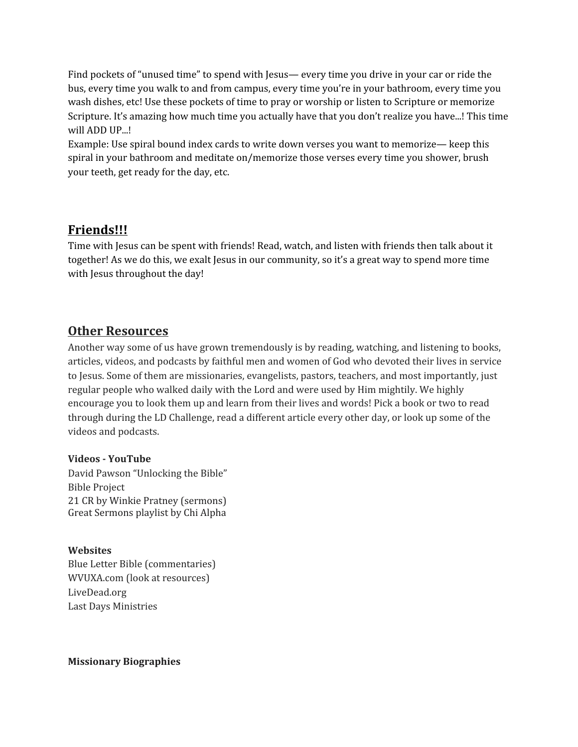Find pockets of "unused time" to spend with Jesus— every time you drive in your car or ride the bus, every time you walk to and from campus, every time you're in your bathroom, every time you wash dishes, etc! Use these pockets of time to pray or worship or listen to Scripture or memorize Scripture. It's amazing how much time you actually have that you don't realize you have...! This time will ADD UP...!

Example: Use spiral bound index cards to write down verses you want to memorize— keep this spiral in your bathroom and meditate on/memorize those verses every time you shower, brush your teeth, get ready for the day, etc.

# **Friends!!!**

Time with Jesus can be spent with friends! Read, watch, and listen with friends then talk about it together! As we do this, we exalt Jesus in our community, so it's a great way to spend more time with Jesus throughout the day!

## **Other Resources**

Another way some of us have grown tremendously is by reading, watching, and listening to books, articles, videos, and podcasts by faithful men and women of God who devoted their lives in service to Jesus. Some of them are missionaries, evangelists, pastors, teachers, and most importantly, just regular people who walked daily with the Lord and were used by Him mightily. We highly encourage you to look them up and learn from their lives and words! Pick a book or two to read through during the LD Challenge, read a different article every other day, or look up some of the videos and podcasts.

## **Videos - YouTube**

David Pawson "Unlocking the Bible" Bible Project 21 CR by Winkie Pratney (sermons) Great Sermons playlist by Chi Alpha

## **Websites**

Blue Letter Bible (commentaries) WVUXA.com (look at resources) LiveDead.org Last Days Ministries

## **Missionary Biographies**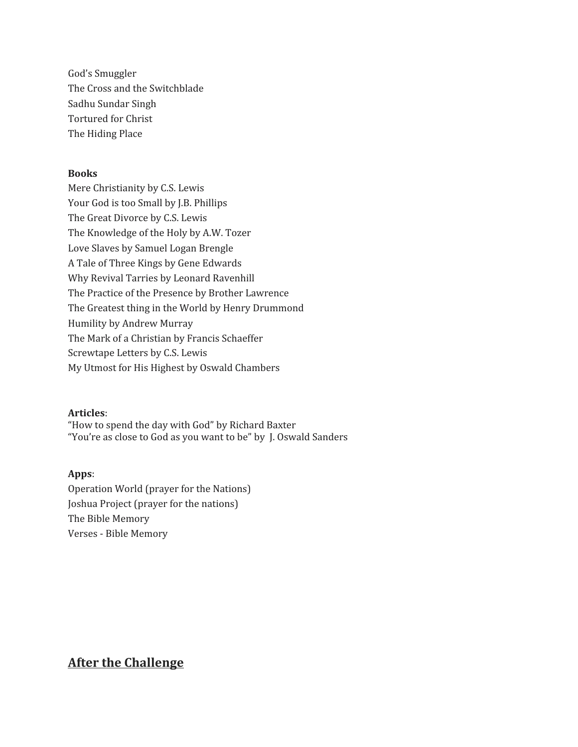God's Smuggler The Cross and the Switchblade Sadhu Sundar Singh Tortured for Christ The Hiding Place

#### **Books**

Mere Christianity by C.S. Lewis Your God is too Small by J.B. Phillips The Great Divorce by C.S. Lewis The Knowledge of the Holy by A.W. Tozer Love Slaves by Samuel Logan Brengle A Tale of Three Kings by Gene Edwards Why Revival Tarries by Leonard Ravenhill The Practice of the Presence by Brother Lawrence The Greatest thing in the World by Henry Drummond Humility by Andrew Murray The Mark of a Christian by Francis Schaeffer Screwtape Letters by C.S. Lewis My Utmost for His Highest by Oswald Chambers

#### **Articles**:

"How to spend the day with God" by Richard Baxter "You're as close to God as you want to be" by J. Oswald Sanders

#### **Apps**:

Operation World (prayer for the Nations) Joshua Project (prayer for the nations) The Bible Memory Verses - Bible Memory

# **After the Challenge**